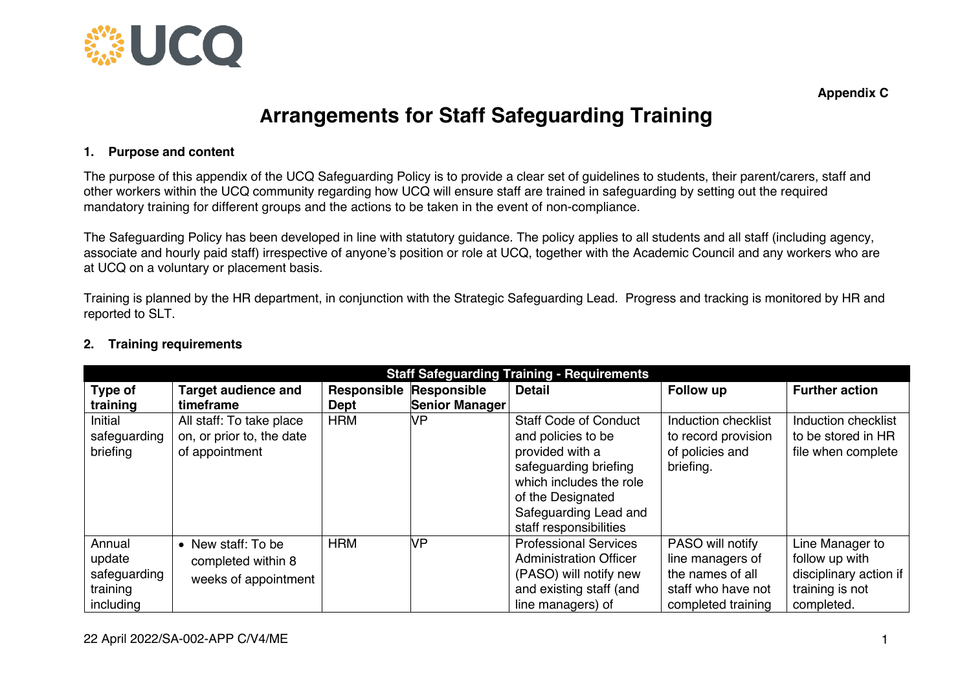

**Appendix C**

## **Arrangements for Staff Safeguarding Training**

## **1. Purpose and content**

The purpose of this appendix of the UCQ Safeguarding Policy is to provide a clear set of guidelines to students, their parent/carers, staff and other workers within the UCQ community regarding how UCQ will ensure staff are trained in safeguarding by setting out the required mandatory training for different groups and the actions to be taken in the event of non-compliance.

The Safeguarding Policy has been developed in line with statutory guidance. The policy applies to all students and all staff (including agency, associate and hourly paid staff) irrespective of anyone's position or role at UCQ, together with the Academic Council and any workers who are at UCQ on a voluntary or placement basis.

Training is planned by the HR department, in conjunction with the Strategic Safeguarding Lead. Progress and tracking is monitored by HR and reported to SLT.

| <b>Staff Safeguarding Training - Requirements</b> |                            |            |                                |                               |                     |                        |  |  |
|---------------------------------------------------|----------------------------|------------|--------------------------------|-------------------------------|---------------------|------------------------|--|--|
| Type of                                           | <b>Target audience and</b> |            | <b>Responsible Responsible</b> | <b>Detail</b>                 | Follow up           | <b>Further action</b>  |  |  |
| training                                          | timeframe                  | Dept       | <b>Senior Manager</b>          |                               |                     |                        |  |  |
| Initial                                           | All staff: To take place   | <b>HRM</b> | VP                             | <b>Staff Code of Conduct</b>  | Induction checklist | Induction checklist    |  |  |
| safeguarding                                      | on, or prior to, the date  |            |                                | and policies to be            | to record provision | to be stored in HR     |  |  |
| briefing                                          | of appointment             |            |                                | provided with a               | of policies and     | file when complete     |  |  |
|                                                   |                            |            |                                | safeguarding briefing         | briefing.           |                        |  |  |
|                                                   |                            |            |                                | which includes the role       |                     |                        |  |  |
|                                                   |                            |            |                                | of the Designated             |                     |                        |  |  |
|                                                   |                            |            |                                | Safeguarding Lead and         |                     |                        |  |  |
|                                                   |                            |            |                                | staff responsibilities        |                     |                        |  |  |
| Annual                                            | • New staff: To be         | <b>HRM</b> | VP                             | <b>Professional Services</b>  | PASO will notify    | Line Manager to        |  |  |
| update                                            | completed within 8         |            |                                | <b>Administration Officer</b> | line managers of    | follow up with         |  |  |
| safeguarding                                      | weeks of appointment       |            |                                | (PASO) will notify new        | the names of all    | disciplinary action if |  |  |
| training                                          |                            |            |                                | and existing staff (and       | staff who have not  | training is not        |  |  |
| including                                         |                            |            |                                | line managers) of             | completed training  | completed.             |  |  |

## **2. Training requirements**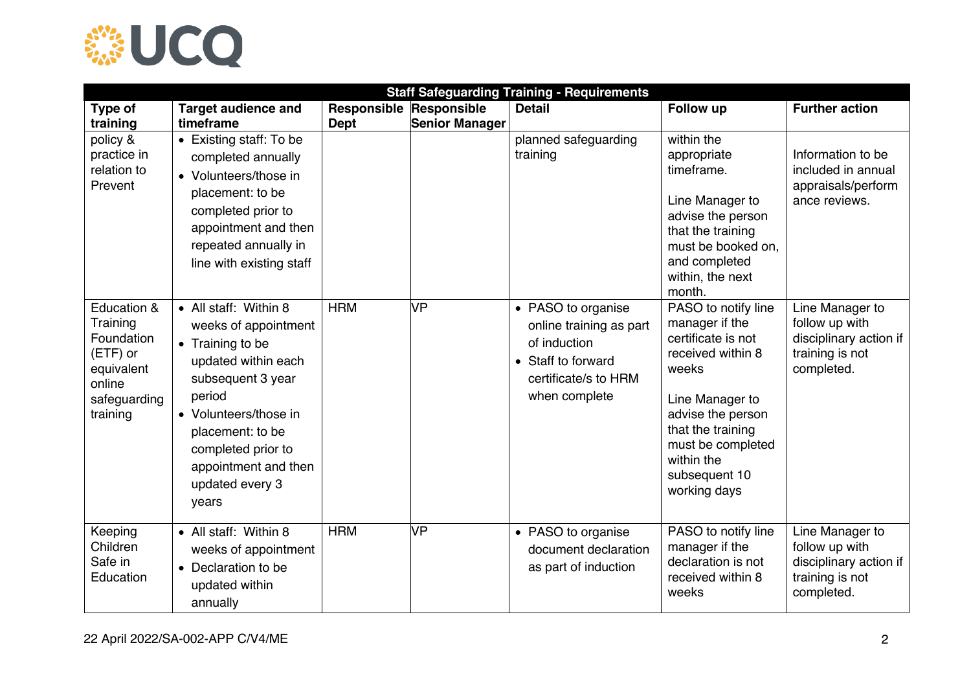

| <b>Staff Safeguarding Training - Requirements</b>                                                     |                                                                                                                                                                                                                                                |                                        |                |                                                                                                                              |                                                                                                                                                                                                                            |                                                                                              |
|-------------------------------------------------------------------------------------------------------|------------------------------------------------------------------------------------------------------------------------------------------------------------------------------------------------------------------------------------------------|----------------------------------------|----------------|------------------------------------------------------------------------------------------------------------------------------|----------------------------------------------------------------------------------------------------------------------------------------------------------------------------------------------------------------------------|----------------------------------------------------------------------------------------------|
| Type of<br>training                                                                                   | <b>Target audience and</b><br>timeframe                                                                                                                                                                                                        | Responsible Responsible<br><b>Dept</b> | Senior Manager | <b>Detail</b>                                                                                                                | <b>Follow up</b>                                                                                                                                                                                                           | <b>Further action</b>                                                                        |
| policy &<br>practice in<br>relation to<br>Prevent                                                     | • Existing staff: To be<br>completed annually<br>• Volunteers/those in<br>placement: to be<br>completed prior to<br>appointment and then<br>repeated annually in<br>line with existing staff                                                   |                                        |                | planned safeguarding<br>training                                                                                             | within the<br>appropriate<br>timeframe.<br>Line Manager to<br>advise the person<br>that the training<br>must be booked on.<br>and completed<br>within, the next<br>month.                                                  | Information to be<br>included in annual<br>appraisals/perform<br>ance reviews.               |
| Education &<br>Training<br>Foundation<br>(ETF) or<br>equivalent<br>online<br>safeguarding<br>training | • All staff: Within 8<br>weeks of appointment<br>• Training to be<br>updated within each<br>subsequent 3 year<br>period<br>• Volunteers/those in<br>placement: to be<br>completed prior to<br>appointment and then<br>updated every 3<br>years | <b>HRM</b>                             | VР             | • PASO to organise<br>online training as part<br>of induction<br>• Staff to forward<br>certificate/s to HRM<br>when complete | PASO to notify line<br>manager if the<br>certificate is not<br>received within 8<br>weeks<br>Line Manager to<br>advise the person<br>that the training<br>must be completed<br>within the<br>subsequent 10<br>working days | Line Manager to<br>follow up with<br>disciplinary action if<br>training is not<br>completed. |
| Keeping<br>Children<br>Safe in<br>Education                                                           | • All staff: Within 8<br>weeks of appointment<br>• Declaration to be<br>updated within<br>annually                                                                                                                                             | <b>HRM</b>                             | <b>VP</b>      | • PASO to organise<br>document declaration<br>as part of induction                                                           | PASO to notify line<br>manager if the<br>declaration is not<br>received within 8<br>weeks                                                                                                                                  | Line Manager to<br>follow up with<br>disciplinary action if<br>training is not<br>completed. |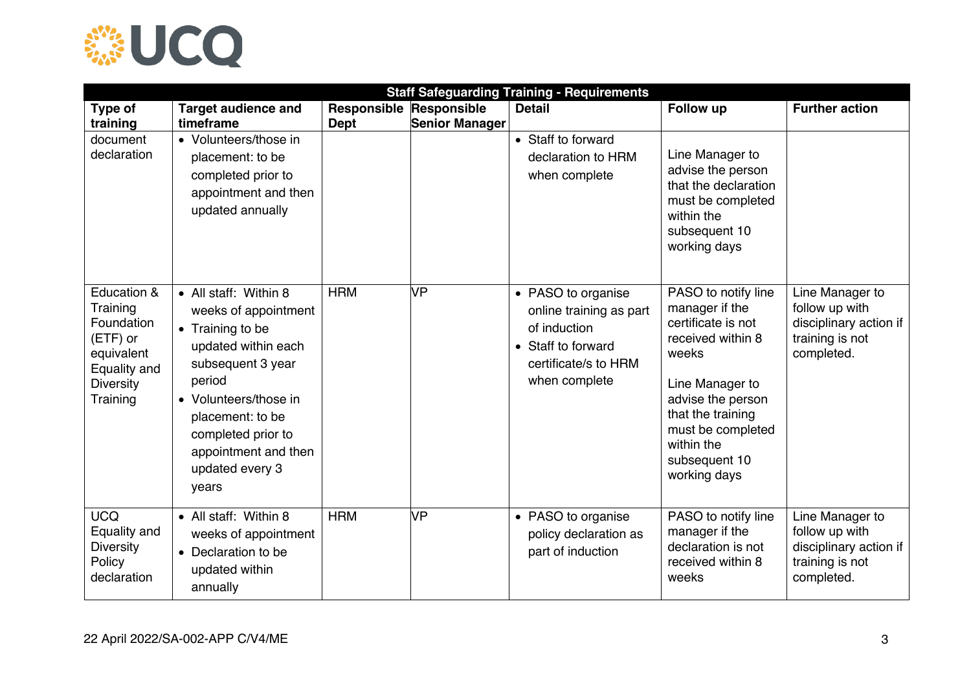

| <b>Staff Safeguarding Training - Requirements</b>                                                               |                                                                                                                                                                                                                                                |                                               |                       |                                                                                                                              |                                                                                                                                                                                                                            |                                                                                              |  |
|-----------------------------------------------------------------------------------------------------------------|------------------------------------------------------------------------------------------------------------------------------------------------------------------------------------------------------------------------------------------------|-----------------------------------------------|-----------------------|------------------------------------------------------------------------------------------------------------------------------|----------------------------------------------------------------------------------------------------------------------------------------------------------------------------------------------------------------------------|----------------------------------------------------------------------------------------------|--|
| Type of<br>training                                                                                             | <b>Target audience and</b><br>timeframe                                                                                                                                                                                                        | <b>Responsible Responsible</b><br><b>Dept</b> | <b>Senior Manager</b> | <b>Detail</b>                                                                                                                | <b>Follow up</b>                                                                                                                                                                                                           | <b>Further action</b>                                                                        |  |
| document<br>declaration                                                                                         | • Volunteers/those in<br>placement: to be<br>completed prior to<br>appointment and then<br>updated annually                                                                                                                                    |                                               |                       | • Staff to forward<br>declaration to HRM<br>when complete                                                                    | Line Manager to<br>advise the person<br>that the declaration<br>must be completed<br>within the<br>subsequent 10<br>working days                                                                                           |                                                                                              |  |
| Education &<br>Training<br>Foundation<br>(ETF) or<br>equivalent<br>Equality and<br><b>Diversity</b><br>Training | • All staff: Within 8<br>weeks of appointment<br>• Training to be<br>updated within each<br>subsequent 3 year<br>period<br>• Volunteers/those in<br>placement: to be<br>completed prior to<br>appointment and then<br>updated every 3<br>years | <b>HRM</b>                                    | VP                    | • PASO to organise<br>online training as part<br>of induction<br>• Staff to forward<br>certificate/s to HRM<br>when complete | PASO to notify line<br>manager if the<br>certificate is not<br>received within 8<br>weeks<br>Line Manager to<br>advise the person<br>that the training<br>must be completed<br>within the<br>subsequent 10<br>working days | Line Manager to<br>follow up with<br>disciplinary action if<br>training is not<br>completed. |  |
| <b>UCQ</b><br>Equality and<br><b>Diversity</b><br>Policy<br>declaration                                         | • All staff: Within 8<br>weeks of appointment<br>• Declaration to be<br>updated within<br>annually                                                                                                                                             | <b>HRM</b>                                    | VP                    | • PASO to organise<br>policy declaration as<br>part of induction                                                             | PASO to notify line<br>manager if the<br>declaration is not<br>received within 8<br>weeks                                                                                                                                  | Line Manager to<br>follow up with<br>disciplinary action if<br>training is not<br>completed. |  |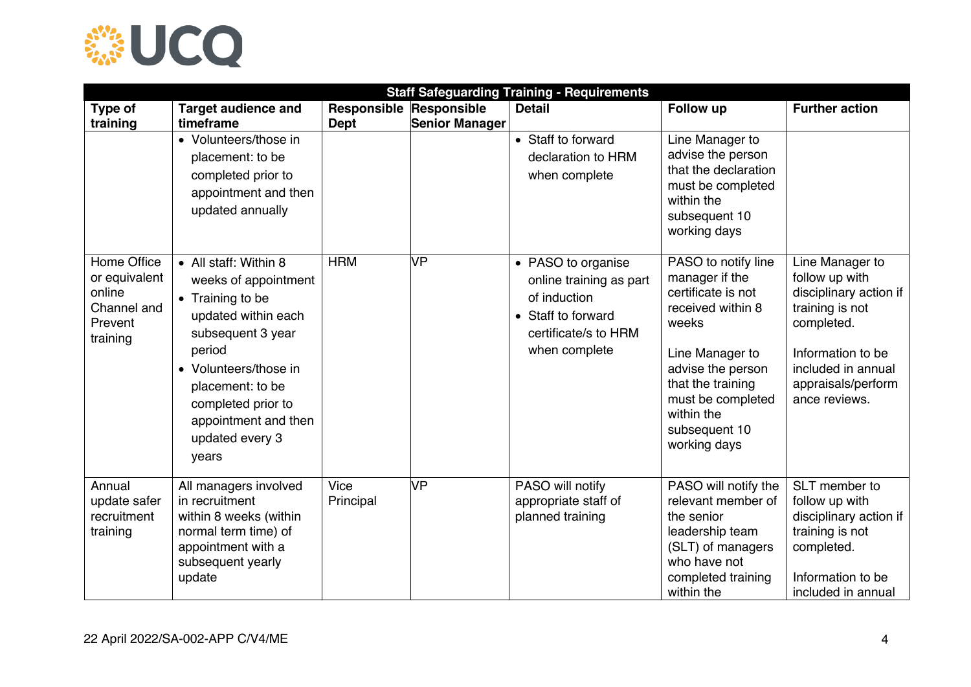

| <b>Staff Safeguarding Training - Requirements</b>                            |                                                                                                                                                                                                                                                |                                        |                       |                                                                                                                              |                                                                                                                                                                                                                            |                                                                                                                                                                                |  |
|------------------------------------------------------------------------------|------------------------------------------------------------------------------------------------------------------------------------------------------------------------------------------------------------------------------------------------|----------------------------------------|-----------------------|------------------------------------------------------------------------------------------------------------------------------|----------------------------------------------------------------------------------------------------------------------------------------------------------------------------------------------------------------------------|--------------------------------------------------------------------------------------------------------------------------------------------------------------------------------|--|
| Type of<br>training                                                          | <b>Target audience and</b><br>timeframe                                                                                                                                                                                                        | Responsible Responsible<br><b>Dept</b> | <b>Senior Manager</b> | <b>Detail</b>                                                                                                                | <b>Follow up</b>                                                                                                                                                                                                           | <b>Further action</b>                                                                                                                                                          |  |
|                                                                              | • Volunteers/those in<br>placement: to be<br>completed prior to<br>appointment and then<br>updated annually                                                                                                                                    |                                        |                       | • Staff to forward<br>declaration to HRM<br>when complete                                                                    | Line Manager to<br>advise the person<br>that the declaration<br>must be completed<br>within the<br>subsequent 10<br>working days                                                                                           |                                                                                                                                                                                |  |
| Home Office<br>or equivalent<br>online<br>Channel and<br>Prevent<br>training | • All staff: Within 8<br>weeks of appointment<br>• Training to be<br>updated within each<br>subsequent 3 year<br>period<br>• Volunteers/those in<br>placement: to be<br>completed prior to<br>appointment and then<br>updated every 3<br>years | <b>HRM</b>                             | VP                    | • PASO to organise<br>online training as part<br>of induction<br>• Staff to forward<br>certificate/s to HRM<br>when complete | PASO to notify line<br>manager if the<br>certificate is not<br>received within 8<br>weeks<br>Line Manager to<br>advise the person<br>that the training<br>must be completed<br>within the<br>subsequent 10<br>working days | Line Manager to<br>follow up with<br>disciplinary action if<br>training is not<br>completed.<br>Information to be<br>included in annual<br>appraisals/perform<br>ance reviews. |  |
| Annual<br>update safer<br>recruitment<br>training                            | All managers involved<br>in recruitment<br>within 8 weeks (within<br>normal term time) of<br>appointment with a<br>subsequent yearly<br>update                                                                                                 | Vice<br>Principal                      | VP                    | PASO will notify<br>appropriate staff of<br>planned training                                                                 | PASO will notify the<br>relevant member of<br>the senior<br>leadership team<br>(SLT) of managers<br>who have not<br>completed training<br>within the                                                                       | SLT member to<br>follow up with<br>disciplinary action if<br>training is not<br>completed.<br>Information to be<br>included in annual                                          |  |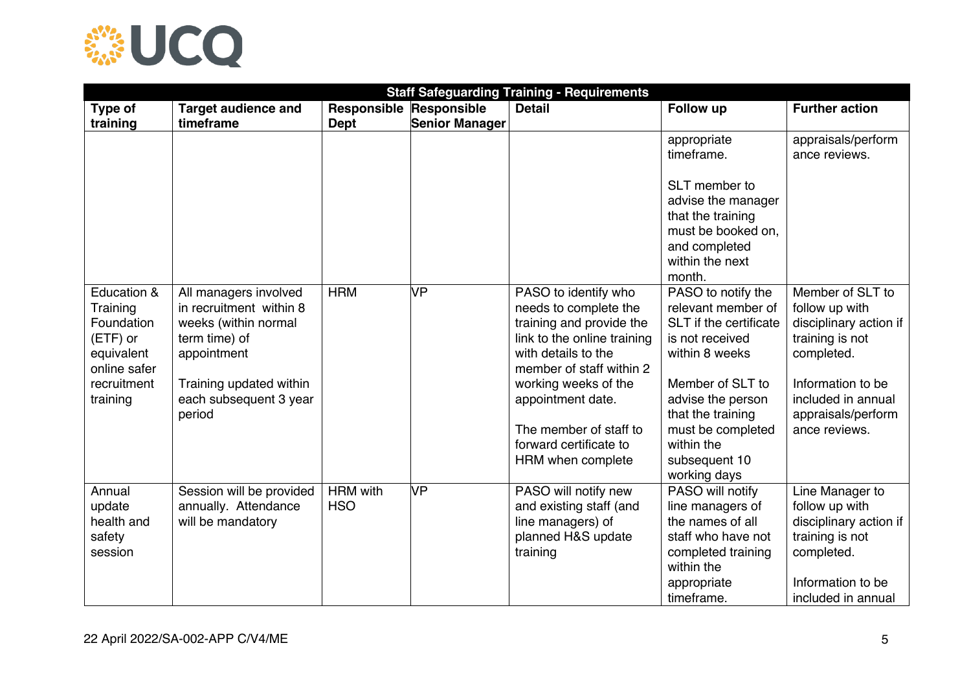

| <b>Staff Safeguarding Training - Requirements</b>                                                          |                                                                                                                                                                         |                                |                       |                                                                                                                                                                                                                                                                                   |                                                                                                                                                                                                                                           |                                                                                                                                                                                 |  |
|------------------------------------------------------------------------------------------------------------|-------------------------------------------------------------------------------------------------------------------------------------------------------------------------|--------------------------------|-----------------------|-----------------------------------------------------------------------------------------------------------------------------------------------------------------------------------------------------------------------------------------------------------------------------------|-------------------------------------------------------------------------------------------------------------------------------------------------------------------------------------------------------------------------------------------|---------------------------------------------------------------------------------------------------------------------------------------------------------------------------------|--|
| Type of                                                                                                    | <b>Target audience and</b>                                                                                                                                              | <b>Responsible Responsible</b> |                       | <b>Detail</b>                                                                                                                                                                                                                                                                     | Follow up                                                                                                                                                                                                                                 | <b>Further action</b>                                                                                                                                                           |  |
| training                                                                                                   | timeframe                                                                                                                                                               | <b>Dept</b>                    | <b>Senior Manager</b> |                                                                                                                                                                                                                                                                                   |                                                                                                                                                                                                                                           |                                                                                                                                                                                 |  |
|                                                                                                            |                                                                                                                                                                         |                                |                       |                                                                                                                                                                                                                                                                                   | appropriate<br>timeframe.<br>SLT member to                                                                                                                                                                                                | appraisals/perform<br>ance reviews.                                                                                                                                             |  |
|                                                                                                            |                                                                                                                                                                         |                                |                       |                                                                                                                                                                                                                                                                                   | advise the manager<br>that the training<br>must be booked on,<br>and completed<br>within the next                                                                                                                                         |                                                                                                                                                                                 |  |
|                                                                                                            |                                                                                                                                                                         |                                |                       |                                                                                                                                                                                                                                                                                   | month.                                                                                                                                                                                                                                    |                                                                                                                                                                                 |  |
| Education &<br>Training<br>Foundation<br>(ETF) or<br>equivalent<br>online safer<br>recruitment<br>training | All managers involved<br>in recruitment within 8<br>weeks (within normal<br>term time) of<br>appointment<br>Training updated within<br>each subsequent 3 year<br>period | <b>HRM</b>                     | VP                    | PASO to identify who<br>needs to complete the<br>training and provide the<br>link to the online training<br>with details to the<br>member of staff within 2<br>working weeks of the<br>appointment date.<br>The member of staff to<br>forward certificate to<br>HRM when complete | PASO to notify the<br>relevant member of<br>SLT if the certificate<br>is not received<br>within 8 weeks<br>Member of SLT to<br>advise the person<br>that the training<br>must be completed<br>within the<br>subsequent 10<br>working days | Member of SLT to<br>follow up with<br>disciplinary action if<br>training is not<br>completed.<br>Information to be<br>included in annual<br>appraisals/perform<br>ance reviews. |  |
| Annual<br>update<br>health and<br>safety<br>session                                                        | Session will be provided<br>annually. Attendance<br>will be mandatory                                                                                                   | <b>HRM</b> with<br><b>HSO</b>  | VР                    | PASO will notify new<br>and existing staff (and<br>line managers) of<br>planned H&S update<br>training                                                                                                                                                                            | PASO will notify<br>line managers of<br>the names of all<br>staff who have not<br>completed training<br>within the<br>appropriate<br>timeframe.                                                                                           | Line Manager to<br>follow up with<br>disciplinary action if<br>training is not<br>completed.<br>Information to be<br>included in annual                                         |  |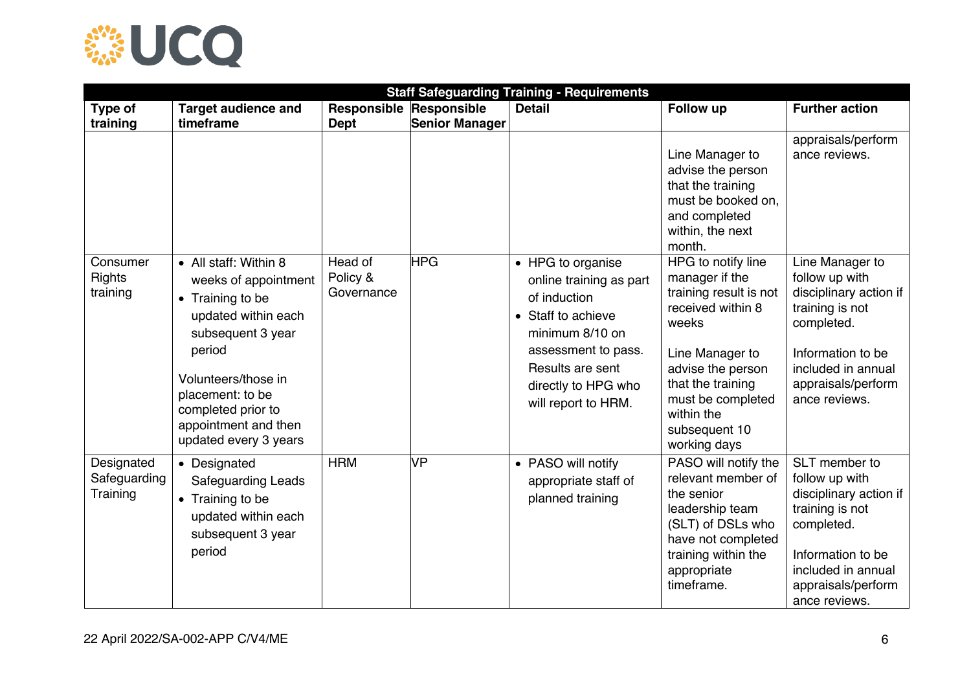

|                                        | <b>Staff Safeguarding Training - Requirements</b>                                                                                                                                                                                         |                                        |                       |                                                                                                                                                                                                |                                                                                                                                                                                                                               |                                                                                                                                                                                |  |  |
|----------------------------------------|-------------------------------------------------------------------------------------------------------------------------------------------------------------------------------------------------------------------------------------------|----------------------------------------|-----------------------|------------------------------------------------------------------------------------------------------------------------------------------------------------------------------------------------|-------------------------------------------------------------------------------------------------------------------------------------------------------------------------------------------------------------------------------|--------------------------------------------------------------------------------------------------------------------------------------------------------------------------------|--|--|
| Type of<br>training                    | <b>Target audience and</b><br>timeframe                                                                                                                                                                                                   | Responsible Responsible<br><b>Dept</b> | <b>Senior Manager</b> | <b>Detail</b>                                                                                                                                                                                  | Follow up                                                                                                                                                                                                                     | <b>Further action</b>                                                                                                                                                          |  |  |
|                                        |                                                                                                                                                                                                                                           |                                        |                       |                                                                                                                                                                                                | Line Manager to<br>advise the person<br>that the training<br>must be booked on.<br>and completed<br>within, the next<br>month.                                                                                                | appraisals/perform<br>ance reviews.                                                                                                                                            |  |  |
| Consumer<br><b>Rights</b><br>training  | • All staff: Within 8<br>weeks of appointment<br>• Training to be<br>updated within each<br>subsequent 3 year<br>period<br>Volunteers/those in<br>placement: to be<br>completed prior to<br>appointment and then<br>updated every 3 years | Head of<br>Policy &<br>Governance      | <b>HPG</b>            | • HPG to organise<br>online training as part<br>of induction<br>• Staff to achieve<br>minimum 8/10 on<br>assessment to pass.<br>Results are sent<br>directly to HPG who<br>will report to HRM. | HPG to notify line<br>manager if the<br>training result is not<br>received within 8<br>weeks<br>Line Manager to<br>advise the person<br>that the training<br>must be completed<br>within the<br>subsequent 10<br>working days | Line Manager to<br>follow up with<br>disciplinary action if<br>training is not<br>completed.<br>Information to be<br>included in annual<br>appraisals/perform<br>ance reviews. |  |  |
| Designated<br>Safeguarding<br>Training | • Designated<br><b>Safeguarding Leads</b><br>• Training to be<br>updated within each<br>subsequent 3 year<br>period                                                                                                                       | <b>HRM</b>                             | VP                    | • PASO will notify<br>appropriate staff of<br>planned training                                                                                                                                 | PASO will notify the<br>relevant member of<br>the senior<br>leadership team<br>(SLT) of DSLs who<br>have not completed<br>training within the<br>appropriate<br>timeframe.                                                    | SLT member to<br>follow up with<br>disciplinary action if<br>training is not<br>completed.<br>Information to be<br>included in annual<br>appraisals/perform<br>ance reviews.   |  |  |